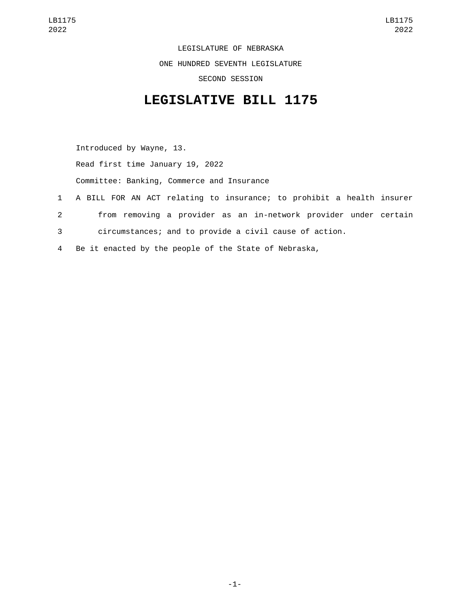LEGISLATURE OF NEBRASKA ONE HUNDRED SEVENTH LEGISLATURE SECOND SESSION

## **LEGISLATIVE BILL 1175**

Introduced by Wayne, 13. Read first time January 19, 2022 Committee: Banking, Commerce and Insurance 1 A BILL FOR AN ACT relating to insurance; to prohibit a health insurer 2 from removing a provider as an in-network provider under certain 3 circumstances; and to provide a civil cause of action.

4 Be it enacted by the people of the State of Nebraska,

-1-